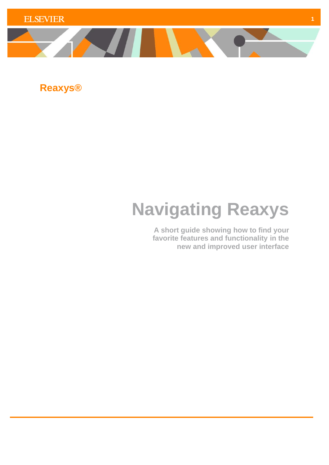

**Reaxys®**

# **Navigating Reaxys**

**A short guide showing how to find your favorite features and functionality in the new and improved user interface**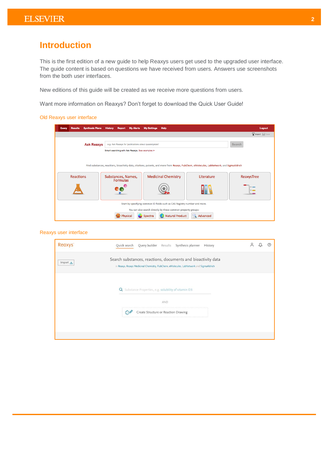# **Introduction**

This is the first edition of a new guide to help Reaxys users get used to the upgraded user interface. The guide content is based on questions we have received from users. Answers use screenshots from the both user interfaces.

New editions of this guide will be created as we receive more questions from users.

Want more information on Reaxys? Don't forget to download the Quick User Guide!

## Old Reaxys user interface

| <b>Synthesis Plans</b><br>Query<br><b>Results</b>                                                                   | <b>History Report My Alerts</b>                                                                                                                                                                                                              | <b>Help</b><br><b>My Settings</b> |  | Logout      |  |  |  |  |
|---------------------------------------------------------------------------------------------------------------------|----------------------------------------------------------------------------------------------------------------------------------------------------------------------------------------------------------------------------------------------|-----------------------------------|--|-------------|--|--|--|--|
|                                                                                                                     |                                                                                                                                                                                                                                              |                                   |  | Import Save |  |  |  |  |
| <b>Ask Reaxys</b>                                                                                                   | e.g. Ask Reaxys for 'publications about quasicrystals'<br>Smart searching with Ask Reaxys. See examples >                                                                                                                                    |                                   |  | Search      |  |  |  |  |
| <b>Reactions</b>                                                                                                    | Find substances, reactions, bioactivity data, citations, patents, and more from Reaxys, PubChem, eMolecules, LabNetwork, and SigmaAldrich<br><b>Medicinal Chemistry</b><br>Literature<br>Substances, Names,<br>ReaxysTree<br><b>Formulas</b> |                                   |  |             |  |  |  |  |
|                                                                                                                     |                                                                                                                                                                                                                                              |                                   |  |             |  |  |  |  |
| Start by specifying common ID fields such as CAS Registry number and more.                                          |                                                                                                                                                                                                                                              |                                   |  |             |  |  |  |  |
| You can also search directly by these common property groups:<br>Natural Product<br>Advanced<br>Physical<br>Spectra |                                                                                                                                                                                                                                              |                                   |  |             |  |  |  |  |

# Reaxys user interface

| Reaxys <sup>®</sup>  | Query builder Results Synthesis planner<br>Quick search<br>History                                                                                      |  |  |
|----------------------|---------------------------------------------------------------------------------------------------------------------------------------------------------|--|--|
| Import $\frac{1}{2}$ | Search substances, reactions, documents and bioactivity data<br>in Reaxys, Reaxys Medicinal Chemistry, PubChem, eMolecules, LabNetwork and SigmaAldrich |  |  |
|                      | Substance Properties, e.g. solubility of vitamin D3<br>$\alpha$                                                                                         |  |  |
|                      | AND                                                                                                                                                     |  |  |
|                      | Create Structure or Reaction Drawing                                                                                                                    |  |  |
|                      |                                                                                                                                                         |  |  |
|                      |                                                                                                                                                         |  |  |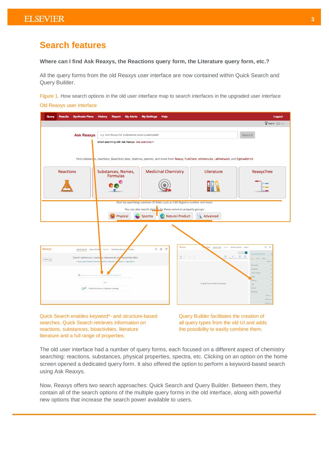# **Search features**

**Where can I find Ask Reaxys, the Reactions query form, the Literature query form, etc.?**

All the query forms from the old Reaxys user interface are now contained within Quick Search and Query Builder.

Figure 1. How search options in the old user interface map to search interfaces in the upgraded user interface Old Reaxys user interface

| Query<br><b>Synthesis Plans</b><br><b>Results</b>                              | <b>History</b><br>Report                                                                                                                                                                                                                       | <b>My Alerts</b> | <b>My Settings</b> | <b>Help</b>                                                                                                                    |                                                                                                                                           | Logout                                                  |  |  |  |
|--------------------------------------------------------------------------------|------------------------------------------------------------------------------------------------------------------------------------------------------------------------------------------------------------------------------------------------|------------------|--------------------|--------------------------------------------------------------------------------------------------------------------------------|-------------------------------------------------------------------------------------------------------------------------------------------|---------------------------------------------------------|--|--|--|
|                                                                                |                                                                                                                                                                                                                                                |                  |                    |                                                                                                                                |                                                                                                                                           | Import & Save                                           |  |  |  |
| <b>Ask Reaxys</b>                                                              | e.g. Ask Reaxys for 'publications about quasicrystals'<br>Smart searching with Ask Reaxys. See examples >                                                                                                                                      |                  |                    |                                                                                                                                |                                                                                                                                           | Search                                                  |  |  |  |
|                                                                                |                                                                                                                                                                                                                                                |                  |                    |                                                                                                                                | Find substandes, reactions, bioactivity data, citations, patents, and more from Reaxys, PubChem, eMolecules, LabNetwork, and SigmaAldrich |                                                         |  |  |  |
| <b>Reactions</b>                                                               | Substances, Names,                                                                                                                                                                                                                             |                  |                    | <b>Medicinal Chemistry</b>                                                                                                     | Literature                                                                                                                                | ReaxysTree                                              |  |  |  |
|                                                                                | Formulas                                                                                                                                                                                                                                       |                  |                    |                                                                                                                                |                                                                                                                                           |                                                         |  |  |  |
|                                                                                |                                                                                                                                                                                                                                                |                  |                    | Start by specifying common ID fields such as CAS Registry number and more.                                                     |                                                                                                                                           |                                                         |  |  |  |
|                                                                                |                                                                                                                                                                                                                                                |                  |                    | You can also search directly by these common property groups:                                                                  |                                                                                                                                           |                                                         |  |  |  |
|                                                                                | Physical                                                                                                                                                                                                                                       |                  | Spectra            | <b>Natural Product</b>                                                                                                         | Advanced                                                                                                                                  |                                                         |  |  |  |
| <b>Reaxys</b><br>Search substances, reacticins, documents and bioactivity data | 20<br>Reaxys'<br>Query builder Results Synthesis planner History<br>$\begin{array}{ccccc}\n2 & 4 & 0 \\ & 3 & 0\n\end{array}$<br>Results Synthesis planner<br>Quick search Query builde<br>History<br>l×.<br>Find search fields and forms<br>a |                  |                    |                                                                                                                                |                                                                                                                                           |                                                         |  |  |  |
| Import<br>in Reaxys, Reaxys Medicinal Chemistry,                               | ubChem, eMolecules, La etwork and SigmaAldrich                                                                                                                                                                                                 |                  |                    | $\begin{array}{ccccc} \Delta & \square & \square & \square & \square \\ \text{lept} & \square & \square & \square \end{array}$ |                                                                                                                                           | Forms<br><b>Racin Indexe</b>                            |  |  |  |
|                                                                                | Q Substance Properties, e.g. solubility of vitamin D3                                                                                                                                                                                          |                  |                    |                                                                                                                                |                                                                                                                                           | <b>Physical Preparts</b>                                |  |  |  |
|                                                                                | AND<br>Create Structure or Reaction Drawing                                                                                                                                                                                                    |                  |                    |                                                                                                                                | Drag & Drop to build a new query                                                                                                          | d/ke<br>Othe<br>Reactions<br>Bibliography<br>Afghanis 1 |  |  |  |
|                                                                                |                                                                                                                                                                                                                                                |                  |                    |                                                                                                                                |                                                                                                                                           | DISTINGUIS -                                            |  |  |  |

Quick Search enables keyword\*- and structure-based Query Builder facilitates the creation of searches. Quick Search retrieves information on all query types from the old UI and adds reactions, substances, bioactivities, literature the possibility to easily combine them. literature and a full range of properties.

The old user interface had a number of query forms, each focused on a different aspect of chemistry searching: reactions, substances, physical properties, spectra, etc. Clicking on an option on the home screen opened a dedicated query form. It also offered the option to perform a keyword-based search using Ask Reaxys.

Now, Reaxys offers two search approaches: Quick Search and Query Builder. Between them, they contain all of the search options of the multiple query forms in the old interface, along with powerful new options that increase the search power available to users.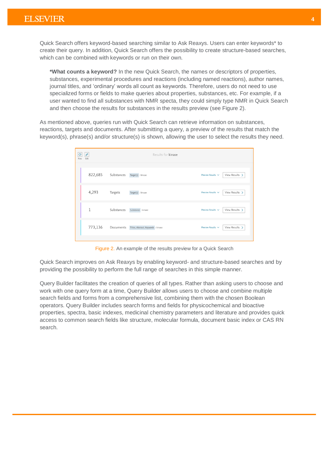Quick Search offers keyword-based searching similar to Ask Reaxys. Users can enter keywords\* to create their query. In addition, Quick Search offers the possibility to create structure-based searches, which can be combined with keywords or run on their own.

**\*What counts a keyword?** In the new Quick Search, the names or descriptors of properties, substances, experimental procedures and reactions (including named reactions), author names, journal titles, and 'ordinary' words all count as keywords. Therefore, users do not need to use specialized forms or fields to make queries about properties, substances, etc. For example, if a user wanted to find all substances with NMR specta, they could simply type NMR in Quick Search and then choose the results for substances in the results preview (see Figure 2).

As mentioned above, queries run with Quick Search can retrieve information on substances, reactions, targets and documents. After submitting a query, a preview of the results that match the keyword(s), phrase(s) and/or structure(s) is shown, allowing the user to select the results they need.

| $\mathcal{O}$<br>New | Ø<br>Edit |            | Results for kinase                  |                        |                            |
|----------------------|-----------|------------|-------------------------------------|------------------------|----------------------------|
|                      | 822,685   | Substances | Target(s) : kinase                  | Preview Results $\vee$ | View Results >             |
|                      | 4,293     | Targets    | Target(s) : kinase                  | Preview Results V      | View Results $\rightarrow$ |
|                      | 1         | Substances | Substance : kinase                  | Preview Results V      | View Results $\rightarrow$ |
|                      | 773,136   | Documents  | Titles, Abstract, Keywords : kinase | Preview Results $\vee$ | View Results >             |
|                      |           |            |                                     |                        |                            |

Figure 2. An example of the results preview for a Quick Search

Quick Search improves on Ask Reaxys by enabling keyword- and structure-based searches and by providing the possibility to perform the full range of searches in this simple manner.

Query Builder facilitates the creation of queries of all types. Rather than asking users to choose and work with one query form at a time, Query Builder allows users to choose and combine multiple search fields and forms from a comprehensive list, combining them with the chosen Boolean operators. Query Builder includes search forms and fields for physicochemical and bioactive properties, spectra, basic indexes, medicinal chemistry parameters and literature and provides quick access to common search fields like structure, molecular formula, document basic index or CAS RN search.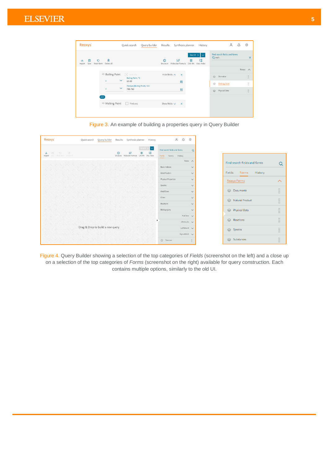| Reaxys <sup>®</sup>                                              | Query builder<br>Quick search                             | Synthesis planner<br>Results<br>History                                                         | $\approx$<br>$\odot$<br>Q                          |
|------------------------------------------------------------------|-----------------------------------------------------------|-------------------------------------------------------------------------------------------------|----------------------------------------------------|
| 侖<br>Ρ٦<br>$\circ$<br>Reset form<br>Delete all<br>Save<br>Import |                                                           | Search $>$ $\sim$<br>m<br>ピ<br>#<br>ര<br>CAS RN<br>Molecular Formula<br>Doc. Index<br>Structure | Find search fields and forms<br>Q melt<br>$\times$ |
|                                                                  |                                                           |                                                                                                 | Reaxys A                                           |
| $\Diamond$ Boiling Point                                         | $\boxed{=}$ Find any<br>Boiling Point, °C<br>$\checkmark$ | Hide fields $\sim$<br>$\times$                                                                  | $\frac{1}{2}$<br>Derivative<br>$\otimes$           |
| $\equiv$                                                         | $60 - 80$<br>Pressure (Boiling Point), Torr               | 园                                                                                               | $\mathbf{ii}$<br><b>Melting Point</b><br>ଛ         |
| $\equiv$                                                         | $\checkmark$<br>740-760                                   | 园                                                                                               | $\mathbf{ii}$<br>Physical Data<br>$\odot$          |
| AND                                                              |                                                           |                                                                                                 |                                                    |
| $\Diamond$ Melting Point                                         | Find any                                                  | Show fields $\checkmark$<br>$\times$                                                            |                                                    |
|                                                                  |                                                           |                                                                                                 |                                                    |
|                                                                  |                                                           |                                                                                                 |                                                    |



| <b>Reaxys</b><br>Query builder<br>Quick search | Synthesis planner<br>History<br>Results            | $\approx$<br>$\Delta$        | $_{\odot}$                                                                                                         |   |
|------------------------------------------------|----------------------------------------------------|------------------------------|--------------------------------------------------------------------------------------------------------------------|---|
| 道<br>画 O                                       | ∣∼<br>#<br>い<br>W                                  | Find search fields and forms | $\alpha$                                                                                                           |   |
| it is<br>Import the American Colorado          | ٥<br>Structure Molecular Formula CAS RN Doc. Index | Fields Forms History         |                                                                                                                    |   |
|                                                |                                                    | Reaxys <                     | Find search fields and forms                                                                                       | Q |
|                                                |                                                    | Basic Indexes                | $\checkmark$                                                                                                       |   |
|                                                |                                                    | Identification               | Fields<br>History<br>Forms<br>$\checkmark$                                                                         |   |
|                                                |                                                    | <b>Physical Properties</b>   | $\vee$<br>Reaxys Forms<br>$\curvearrowright$                                                                       |   |
|                                                |                                                    | Spectra                      | $\checkmark$                                                                                                       |   |
|                                                |                                                    | MedChem                      | $\frac{1}{2}$<br>ie Documents<br>$\checkmark$                                                                      |   |
|                                                |                                                    | Other                        | $\checkmark$<br>Natural Product                                                                                    |   |
|                                                |                                                    | Reactions                    | $\checkmark$                                                                                                       |   |
|                                                |                                                    | Bibliography                 | Physical Data<br>$\checkmark$                                                                                      |   |
|                                                |                                                    | PubChem v                    |                                                                                                                    |   |
|                                                | ٠                                                  | eMolecules v                 | $\frac{1}{2}$<br>$\qquad \qquad \Longleftrightarrow$<br>Reactions                                                  |   |
| Drag & Drop to build a new query               |                                                    | LabNetwork                   | H<br>Spectra                                                                                                       |   |
|                                                |                                                    | SigmaAldrich v               |                                                                                                                    |   |
|                                                |                                                    | Structure                    | $\frac{1}{2}$<br>$\qquad \qquad \Longleftrightarrow$<br>Substances<br>$\begin{array}{c} \ldots \ldots \end{array}$ |   |

Figure 4. Query Builder showing a selection of the top categories of *Fields* (screenshot on the left) and a close up on a selection of the top categories of *Forms* (screenshot on the right) available for query construction. Each contains multiple options, similarly to the old UI.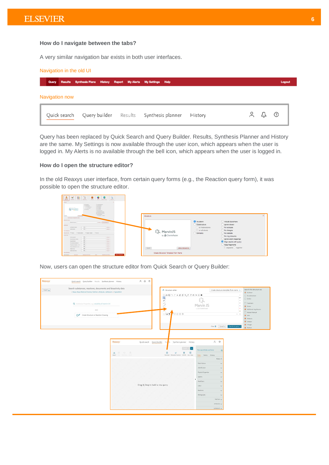# **How do I navigate between the tabs?**

A very similar navigation bar exists in both user interfaces.

#### Navigation in the old UI **Query Results Synthesis Plans** History Report My Alerts My Settings Help Logout Navigation now  $22$  $^{\circledR}$ Query builder Results Synthesis planner Quick search History

Query has been replaced by Quick Search and Query Builder. Results, Synthesis Planner and History are the same. My Settings is now available through the user icon, which appears when the user is logged in. My Alerts is no available through the bell icon, which appears when the user is logged in.

# **How do I open the structure editor?**

In the old Reaxys user interface, from certain query forms (e.g., the Reaction query form), it was possible to open the structure editor.



Now, users can open the structure editor from Quick Search or Query Builder:

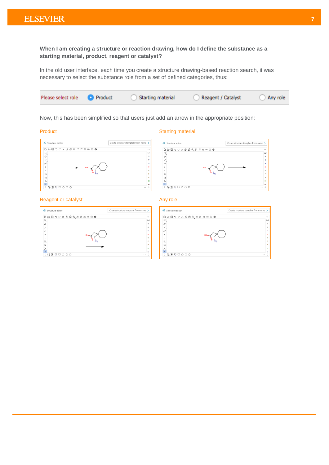**When I am creating a structure or reaction drawing, how do I define the substance as a starting material, product, reagent or catalyst?**

In the old user interface, each time you create a structure drawing-based reaction search, it was necessary to select the substance role from a set of defined categories, thus:



Now, this has been simplified so that users just add an arrow in the appropriate position:

### Product **Starting material**